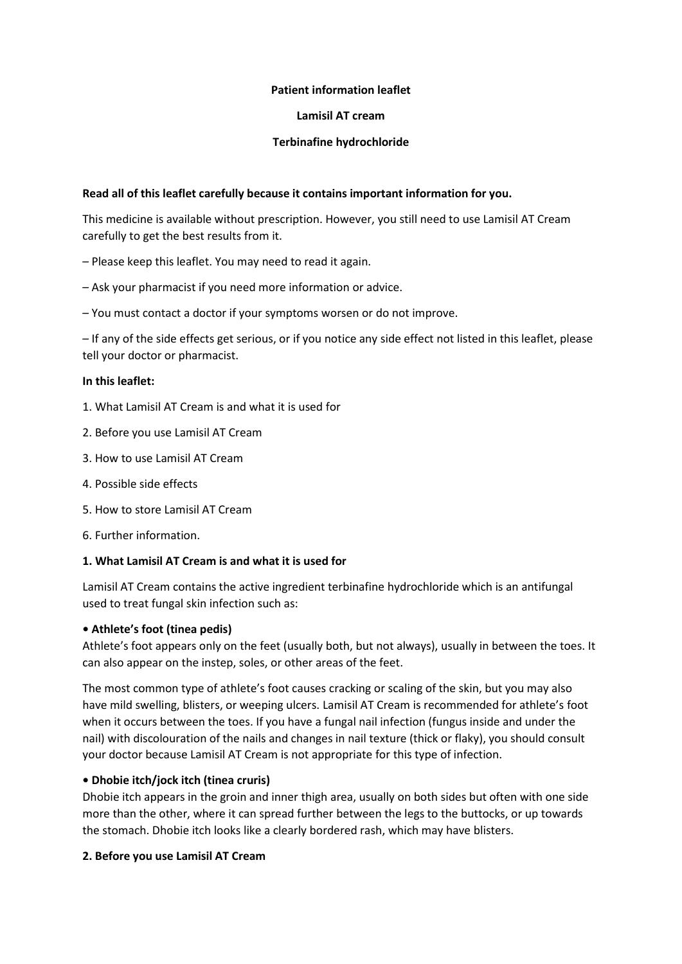# **Patient information leaflet**

## **Lamisil AT cream**

# **Terbinafine hydrochloride**

# **Read all of this leaflet carefully because it contains important information for you.**

This medicine is available without prescription. However, you still need to use Lamisil AT Cream carefully to get the best results from it.

- Please keep this leaflet. You may need to read it again.
- Ask your pharmacist if you need more information or advice.
- You must contact a doctor if your symptoms worsen or do not improve.

– If any of the side effects get serious, or if you notice any side effect not listed in this leaflet, please tell your doctor or pharmacist.

#### **In this leaflet:**

- 1. What Lamisil AT Cream is and what it is used for
- 2. Before you use Lamisil AT Cream
- 3. How to use Lamisil AT Cream
- 4. Possible side effects
- 5. How to store Lamisil AT Cream
- 6. Further information.

#### **1. What Lamisil AT Cream is and what it is used for**

Lamisil AT Cream contains the active ingredient terbinafine hydrochloride which is an antifungal used to treat fungal skin infection such as:

#### **• Athlete's foot (tinea pedis)**

Athlete's foot appears only on the feet (usually both, but not always), usually in between the toes. It can also appear on the instep, soles, or other areas of the feet.

The most common type of athlete's foot causes cracking or scaling of the skin, but you may also have mild swelling, blisters, or weeping ulcers. Lamisil AT Cream is recommended for athlete's foot when it occurs between the toes. If you have a fungal nail infection (fungus inside and under the nail) with discolouration of the nails and changes in nail texture (thick or flaky), you should consult your doctor because Lamisil AT Cream is not appropriate for this type of infection.

# **• Dhobie itch/jock itch (tinea cruris)**

Dhobie itch appears in the groin and inner thigh area, usually on both sides but often with one side more than the other, where it can spread further between the legs to the buttocks, or up towards the stomach. Dhobie itch looks like a clearly bordered rash, which may have blisters.

#### **2. Before you use Lamisil AT Cream**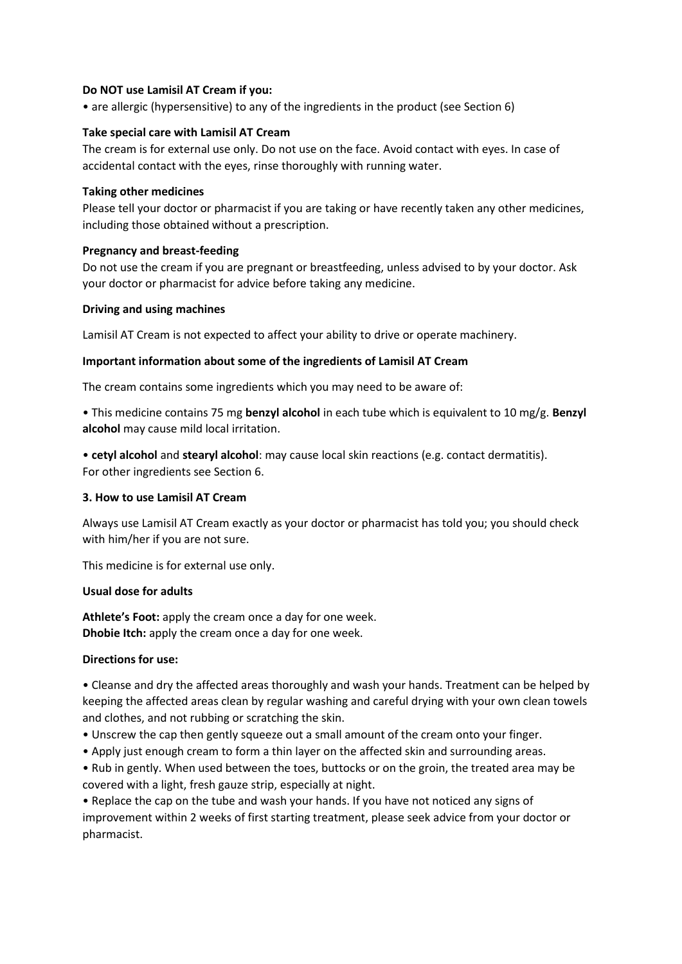## **Do NOT use Lamisil AT Cream if you:**

• are allergic (hypersensitive) to any of the ingredients in the product (see Section 6)

# **Take special care with Lamisil AT Cream**

The cream is for external use only. Do not use on the face. Avoid contact with eyes. In case of accidental contact with the eyes, rinse thoroughly with running water.

## **Taking other medicines**

Please tell your doctor or pharmacist if you are taking or have recently taken any other medicines, including those obtained without a prescription.

# **Pregnancy and breast-feeding**

Do not use the cream if you are pregnant or breastfeeding, unless advised to by your doctor. Ask your doctor or pharmacist for advice before taking any medicine.

# **Driving and using machines**

Lamisil AT Cream is not expected to affect your ability to drive or operate machinery.

# **Important information about some of the ingredients of Lamisil AT Cream**

The cream contains some ingredients which you may need to be aware of:

• This medicine contains 75 mg **benzyl alcohol** in each tube which is equivalent to 10 mg/g. **Benzyl alcohol** may cause mild local irritation.

• **cetyl alcohol** and **stearyl alcohol**: may cause local skin reactions (e.g. contact dermatitis). For other ingredients see Section 6.

#### **3. How to use Lamisil AT Cream**

Always use Lamisil AT Cream exactly as your doctor or pharmacist has told you; you should check with him/her if you are not sure.

This medicine is for external use only.

#### **Usual dose for adults**

**Athlete's Foot:** apply the cream once a day for one week. **Dhobie Itch:** apply the cream once a day for one week.

# **Directions for use:**

• Cleanse and dry the affected areas thoroughly and wash your hands. Treatment can be helped by keeping the affected areas clean by regular washing and careful drying with your own clean towels and clothes, and not rubbing or scratching the skin.

- Unscrew the cap then gently squeeze out a small amount of the cream onto your finger.
- Apply just enough cream to form a thin layer on the affected skin and surrounding areas.

• Rub in gently. When used between the toes, buttocks or on the groin, the treated area may be covered with a light, fresh gauze strip, especially at night.

• Replace the cap on the tube and wash your hands. If you have not noticed any signs of improvement within 2 weeks of first starting treatment, please seek advice from your doctor or pharmacist.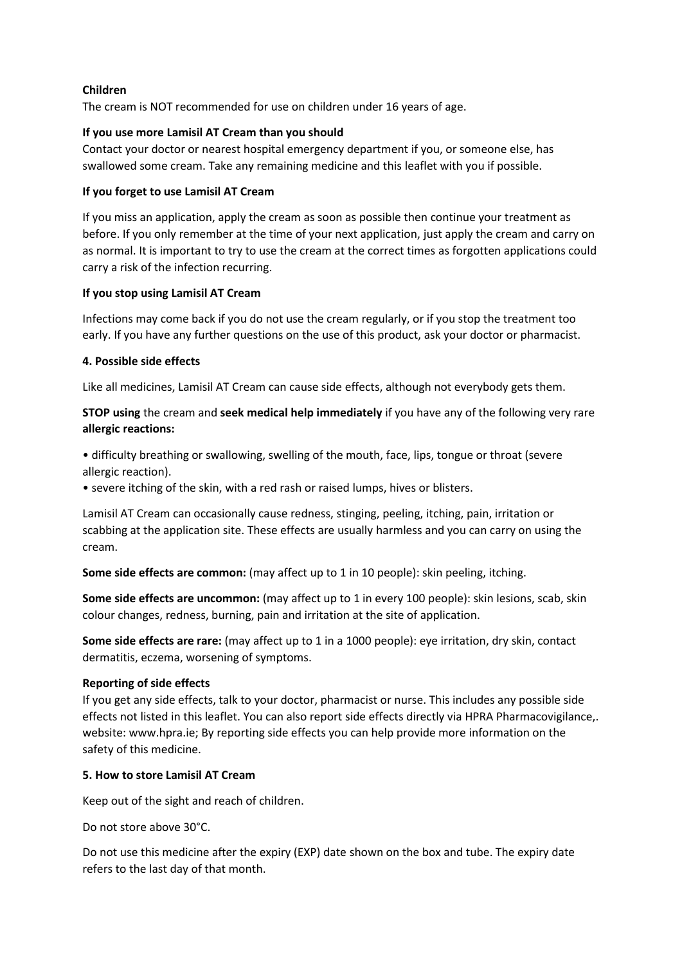# **Children**

The cream is NOT recommended for use on children under 16 years of age.

## **If you use more Lamisil AT Cream than you should**

Contact your doctor or nearest hospital emergency department if you, or someone else, has swallowed some cream. Take any remaining medicine and this leaflet with you if possible.

## **If you forget to use Lamisil AT Cream**

If you miss an application, apply the cream as soon as possible then continue your treatment as before. If you only remember at the time of your next application, just apply the cream and carry on as normal. It is important to try to use the cream at the correct times as forgotten applications could carry a risk of the infection recurring.

# **If you stop using Lamisil AT Cream**

Infections may come back if you do not use the cream regularly, or if you stop the treatment too early. If you have any further questions on the use of this product, ask your doctor or pharmacist.

# **4. Possible side effects**

Like all medicines, Lamisil AT Cream can cause side effects, although not everybody gets them.

**STOP using** the cream and **seek medical help immediately** if you have any of the following very rare **allergic reactions:**

• difficulty breathing or swallowing, swelling of the mouth, face, lips, tongue or throat (severe allergic reaction).

• severe itching of the skin, with a red rash or raised lumps, hives or blisters.

Lamisil AT Cream can occasionally cause redness, stinging, peeling, itching, pain, irritation or scabbing at the application site. These effects are usually harmless and you can carry on using the cream.

**Some side effects are common:** (may affect up to 1 in 10 people): skin peeling, itching.

**Some side effects are uncommon:** (may affect up to 1 in every 100 people): skin lesions, scab, skin colour changes, redness, burning, pain and irritation at the site of application.

**Some side effects are rare:** (may affect up to 1 in a 1000 people): eye irritation, dry skin, contact dermatitis, eczema, worsening of symptoms.

#### **Reporting of side effects**

If you get any side effects, talk to your doctor, pharmacist or nurse. This includes any possible side effects not listed in this leaflet. You can also report side effects directly via HPRA Pharmacovigilance,. website: www.hpra.ie; By reporting side effects you can help provide more information on the safety of this medicine.

# **5. How to store Lamisil AT Cream**

Keep out of the sight and reach of children.

Do not store above 30°C.

Do not use this medicine after the expiry (EXP) date shown on the box and tube. The expiry date refers to the last day of that month.